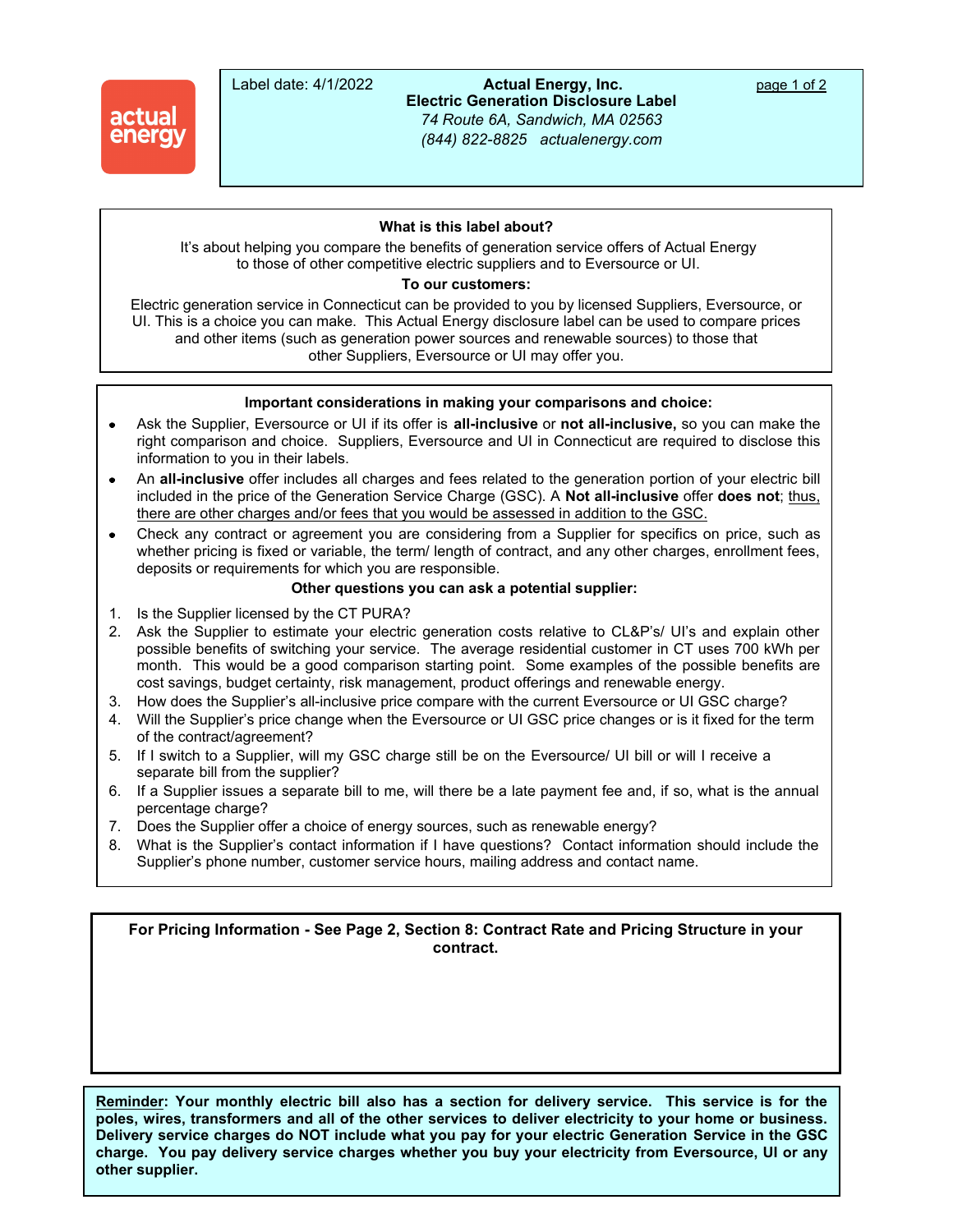

Label date: 4/1/2022 **Actual Energy, Inc.** page 1 of 2 **Electric Generation Disclosure Label** *74 Route 6A, Sandwich, MA 02563 (844) 822-8825 actualenergy.com*

### **What is this label about?**  *customer service phone # xxx-xxx-xxxx, website*

 It's about helping you compare the benefits of generation service offers of Actual Energy to those of other competitive electric suppliers and to Eversource or UI.

## **To our customers:**

Electric generation service in Connecticut can be provided to you by licensed Suppliers, Eversource, or UI. This is a choice you can make. This Actual Energy disclosure label can be used to compare prices and other items (such as generation power sources and renewable sources) to those that other Suppliers, Eversource or UI may offer you.

### **Important considerations in making your comparisons and choice:**

- Ask the Supplier, Eversource or UI if its offer is **all-inclusive** or **not all-inclusive,** so you can make the  $\bullet$ right comparison and choice. Suppliers, Eversource and UI in Connecticut are required to disclose this information to you in their labels.
- An **all-inclusive** offer includes all charges and fees related to the generation portion of your electric bill included in the price of the Generation Service Charge (GSC). A **Not all-inclusive** offer **does not**; thus, there are other charges and/or fees that you would be assessed in addition to the GSC.
- Check any contract or agreement you are considering from a Supplier for specifics on price, such as  $\bullet$ whether pricing is fixed or variable, the term/ length of contract, and any other charges, enrollment fees, deposits or requirements for which you are responsible.

# **Other questions you can ask a potential supplier:**

- 1. Is the Supplier licensed by the CT PURA?
- 2. Ask the Supplier to estimate your electric generation costs relative to CL&P's/ UI's and explain other possible benefits of switching your service. The average residential customer in CT uses 700 kWh per month. This would be a good comparison starting point. Some examples of the possible benefits are cost savings, budget certainty, risk management, product offerings and renewable energy.
- 3. How does the Supplier's all-inclusive price compare with the current Eversource or UI GSC charge?
- 4. Will the Supplier's price change when the Eversource or UI GSC price changes or is it fixed for the term of the contract/agreement?
- 5. If I switch to a Supplier, will my GSC charge still be on the Eversource/ UI bill or will I receive a separate bill from the supplier?
- 6. If a Supplier issues a separate bill to me, will there be a late payment fee and, if so, what is the annual percentage charge?
- 7. Does the Supplier offer a choice of energy sources, such as renewable energy?
- 8. What is the Supplier's contact information if I have questions? Contact information should include the Supplier's phone number, customer service hours, mailing address and contact name.

**For Pricing Information - See Page 2, Section 8: Contract Rate and Pricing Structure in your contract.**

**Reminder: Your monthly electric bill also has a section for delivery service. This service is for the poles, wires, transformers and all of the other services to deliver electricity to your home or business. Delivery service charges do NOT include what you pay for your electric Generation Service in the GSC charge. You pay delivery service charges whether you buy your electricity from Eversource, UI or any other supplier.**